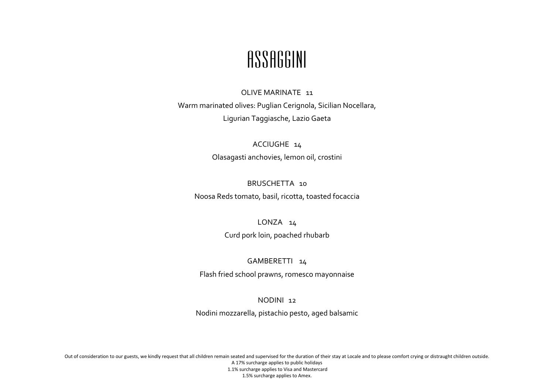## ASSAGGINI

#### OLIVE MARINATE 11

Warm marinated olives: Puglian Cerignola, Sicilian Nocellara, Ligurian Taggiasche, Lazio Gaeta

## ACCIUGHE 14 Olasagasti anchovies, lemon oil, crostini

## BRUSCHETTA 10

Noosa Reds tomato, basil, ricotta, toasted focaccia

### LONZA 14

Curd pork loin, poached rhubarb

### GAMBERETTI 14

Flash fried school prawns, romesco mayonnaise

### NODINI 12

Nodini mozzarella, pistachio pesto, aged balsamic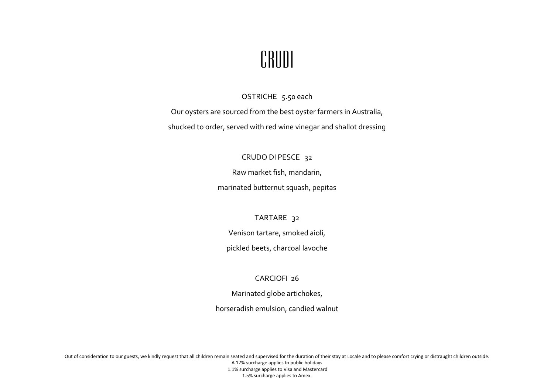

OSTRICHE 5.50 each

Our oysters are sourced from the best oyster farmers in Australia,

shucked to order, served with red wine vinegar and shallot dressing

### CRUDO DI PESCE 32

Raw market fish, mandarin,

marinated butternut squash, pepitas

TARTARE 32

Venison tartare, smoked aioli,

pickled beets, charcoal lavoche

## CARCIOFI 26

Marinated globe artichokes,

horseradish emulsion, candied walnut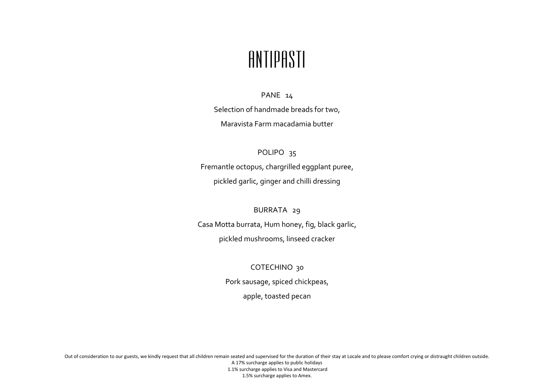# ANTIPASTI

#### PANE 14

Selection of handmade breads for two, Maravista Farm macadamia butter

### POLIPO<sub>35</sub>

Fremantle octopus, chargrilled eggplant puree, pickled garlic, ginger and chilli dressing

### BURRATA 29

Casa Motta burrata, Hum honey, fig, black garlic, pickled mushrooms, linseed cracker

> COTECHINO 30 Pork sausage, spiced chickpeas, apple, toasted pecan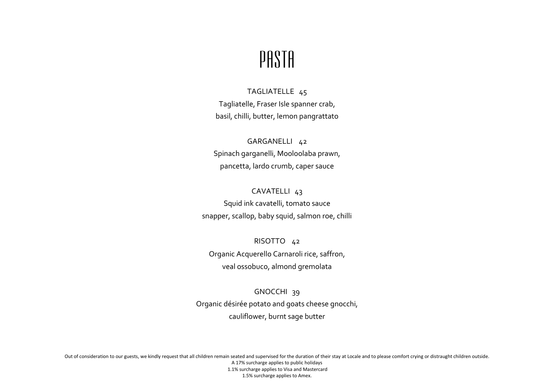# PASTA

## TAGLIATELLE 45 Tagliatelle, Fraser Isle spanner crab, basil, chilli, butter, lemon pangrattato

GARGANELLI 42 Spinach garganelli, Mooloolaba prawn, pancetta, lardo crumb, caper sauce

## CAVATELLI 43 Squid ink cavatelli, tomato sauce snapper, scallop, baby squid, salmon roe, chilli

RISOTTO 42 Organic Acquerello Carnaroli rice, saffron, veal ossobuco, almond gremolata

GNOCCHI 39 Organic désirée potato and goats cheese gnocchi, cauliflower, burnt sage butter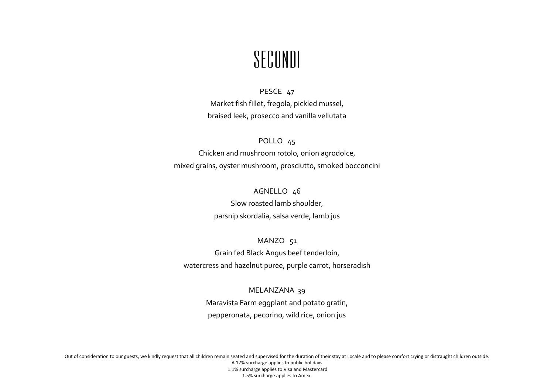# SECONDI

PESCE 47 Market fish fillet, fregola, pickled mussel, braised leek, prosecco and vanilla vellutata

POLLO 45 Chicken and mushroom rotolo, onion agrodolce, mixed grains, oyster mushroom, prosciutto, smoked bocconcini

> AGNELLO 46 Slow roasted lamb shoulder,

parsnip skordalia, salsa verde, lamb jus

MANZO 51 Grain fed Black Angus beef tenderloin, watercress and hazelnut puree, purple carrot, horseradish

> MELANZANA 39 Maravista Farm eggplant and potato gratin, pepperonata, pecorino, wild rice, onion jus